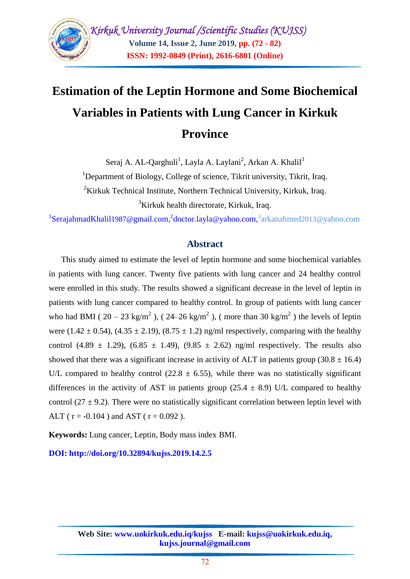## **Estimation of the Leptin Hormone and Some Biochemical Variables in Patients with Lung Cancer in Kirkuk Province**

Seraj A. AL-Qarghuli<sup>1</sup>, Layla A. Laylani<sup>2</sup>, Arkan A. Khalil<sup>3</sup>

<sup>1</sup>Department of Biology, College of science, Tikrit university, Tikrit, Iraq.

 $2$ Kirkuk Technical Institute, Northern Technical University, Kirkuk, Iraq.

<sup>3</sup>Kirkuk health directorate, Kirkuk, Iraq.

<sup>1</sup>[SerajahmadKhalil](mailto:1SerajahmadKhalil1987@gmail.com)1987@gmail.com,<sup>2</sup>[doctor.layla](mailto:2doctor.layla@yahoo.com)@yahoo.com,<sup>3</sup>arkanahmed2013@yahoo.com

#### **Abstract**

This study aimed to estimate the level of leptin hormone and some biochemical variables in patients with lung cancer. Twenty five patients with lung cancer and 24 healthy control were enrolled in this study. The results showed a significant decrease in the level of leptin in patients with lung cancer compared to healthy control. In group of patients with lung cancer who had BMI ( $20 - 23 \text{ kg/m}^2$ ), ( $24 - 26 \text{ kg/m}^2$ ), (more than 30 kg/m<sup>2</sup>) the levels of leptin were (1.42  $\pm$  0.54), (4.35  $\pm$  2.19), (8.75  $\pm$  1.2) ng/ml respectively, comparing with the healthy control (4.89  $\pm$  1.29), (6.85  $\pm$  1.49), (9.85  $\pm$  2.62) ng/ml respectively. The results also showed that there was a significant increase in activity of ALT in patients group  $(30.8 \pm 16.4)$ U/L compared to healthy control (22.8  $\pm$  6.55), while there was no statistically significant differences in the activity of AST in patients group (25.4  $\pm$  8.9) U/L compared to healthy control (27  $\pm$  9.2). There were no statistically significant correlation between leptin level with ALT ( $r = -0.104$ ) and AST ( $r = 0.092$ ).

**Keywords:** Lung cancer, Leptin, Body mass index BMI.

**DOI: http://doi.org/10.32894/kujss.2019.14.2.5**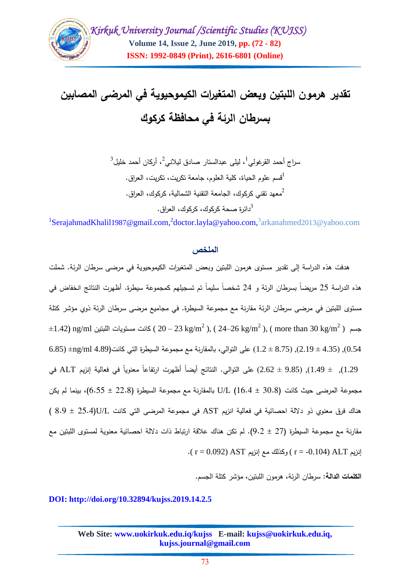

# **تقدير هرمون المبتين وبعض المتغيرات الكيموحيوية في المرضى المصابين بسرطان الرئة في محافظة كركوك**

 $^3$  سراج أحمد القرغولي $^1$ ، ليلي عبدالستار صادق ليلاني $^2$ ، أركان أحمد خليل 1 قسم عموم الحياة، كمية العموم، جامعة تكريت، تكريت، العراق. 2 معهد تقني كركوك، الجامعة التقنية الشمالية، كركوك، العراق. <sup>3</sup>دائرة صحة كركوك، كركوك، العراق.

<sup>1</sup>[SerajahmadKhalil](mailto:1SerajahmadKhalil1987@gmail.com)1987@gmail.com,<sup>2</sup>[doctor.layla](mailto:2doctor.layla@yahoo.com)@yahoo.com,<sup>3</sup>arkanahmed2013@yahoo.com

#### **الممخص**

هدفت هذه الدراسة إلى تقدير مستوى هرمون المبتين وبعض المتغيرات الكيموحيوية في مرضى سرطان الرئة. شممت هذه الدراسة 25 مريضاً بسرطان الرئة و 24 شخصاً سليماً تم تسجيلهم كمجموعة سيطرة. أظهرت النتائج انخفاض في مستوى اللبتين في مرضى سرطان الرئة مقارنة مع مجموعة السيطرة. في مجاميع مرضى سرطان الرئة ذوي مؤشر كتلة  $\pm 1.42$ ) ng/ml كانت مستويات اللبتين ( 20 $-23$  kg/m<sup>2</sup> ), ( 24–26 kg/m<sup>2</sup> ), ( more than 30 kg/m<sup>2</sup> ) 6.85)  $(2.19 \pm 4.35)$   $(2.19 \pm 4.35)$ , ( $2.19 \pm 8.75$ ) على التوالي، بالمقارنة مع مجموعة السيطرة التي كانت(4.89 mg/ml 1.29), ± 1.49(, )9.85 ± 2.62( عمى التوالي. النتائج أيضاً أظهرت ارتفاعاً معنوياً في فعالية إنزيم ALT في مجموعة المرضى حيث كانت )30.8 ± 16.4) L/U بالمقارنة مع مجموعة السيطرة )22.8 ± 6.55(، بينما لم يكن هناك فرق معنوي ذو داللة احصائية في فعالية انزيم AST في مجموعة المرضى التي كانت L/U(25.4 ± 8.9( مقارنة مع مجموعة السيطرة )27 ± 9.2). لم تكن هناك عالقة ارتباط ذات داللة احصائية معنوية لمستوى المبتين مع  $\cdot$  ( r = 0.092) AST) إنزيم AST) وكذلك مع إنزيم ( r = 0.092)  $\cdot$ 

**الكممات الدالة:** سرطان الرئة، هرمون المبتين، مؤشر كتمة الجسم.

#### **DOI: http://doi.org/10.32894/kujss.2019.14.2.5**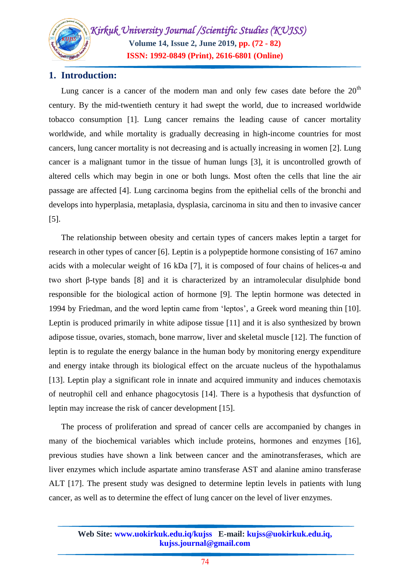## **1. Introduction:**

Lung cancer is a cancer of the modern man and only few cases date before the  $20<sup>th</sup>$ century. By the mid-twentieth century it had swept the world, due to increased worldwide tobacco consumption [1]. Lung cancer remains the leading cause of cancer mortality worldwide, and while mortality is gradually decreasing in high-income countries for most cancers, lung cancer mortality is not decreasing and is actually increasing in women [2]. Lung cancer is a malignant tumor in the tissue of human lungs [3], it is uncontrolled growth of altered cells which may begin in one or both lungs. Most often the cells that line the air passage are affected [4]. Lung carcinoma begins from the epithelial cells of the bronchi and develops into hyperplasia, metaplasia, dysplasia, carcinoma in situ and then to invasive cancer [5].

The relationship between obesity and certain types of cancers makes leptin a target for research in other types of cancer [6]. Leptin is a polypeptide hormone consisting of 167 amino acids with a molecular weight of 16 kDa [7], it is composed of four chains of helices-α and two short β-type bands [8] and it is characterized by an intramolecular disulphide bond responsible for the biological action of hormone [9]. The leptin hormone was detected in 1994 by Friedman, and the word leptin came from 'leptos', a Greek word meaning thin [10]. Leptin is produced primarily in white adipose tissue [11] and it is also synthesized by brown adipose tissue, ovaries, stomach, bone marrow, liver and skeletal muscle [12]. The function of leptin is to regulate the energy balance in the human body by monitoring energy expenditure and energy intake through its biological effect on the arcuate nucleus of the hypothalamus [13]. Leptin play a significant role in innate and acquired immunity and induces chemotaxis of neutrophil cell and enhance phagocytosis [14]. There is a hypothesis that dysfunction of leptin may increase the risk of cancer development [15].

The process of proliferation and spread of cancer cells are accompanied by changes in many of the biochemical variables which include proteins, hormones and enzymes [16], previous studies have shown a link between cancer and the aminotransferases, which are liver enzymes which include aspartate amino transferase AST and alanine amino transferase ALT [17]. The present study was designed to determine leptin levels in patients with lung cancer, as well as to determine the effect of lung cancer on the level of liver enzymes.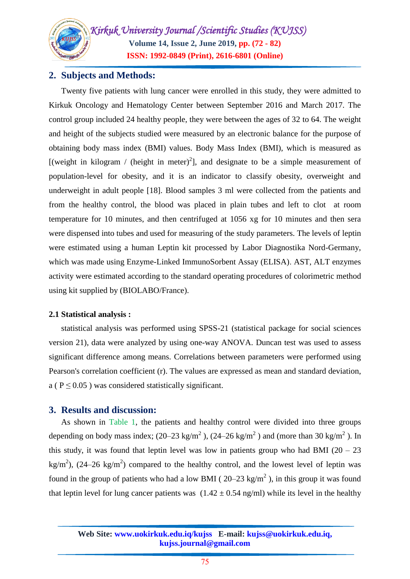## **2. Subjects and Methods:**

Twenty five patients with lung cancer were enrolled in this study, they were admitted to Kirkuk Oncology and Hematology Center between September 2016 and March 2017. The control group included 24 healthy people, they were between the ages of 32 to 64. The weight and height of the subjects studied were measured by an electronic balance for the purpose of obtaining body mass index (BMI) values. Body Mass Index (BMI), which is measured as [(weight in kilogram / (height in meter)<sup>2</sup>], and designate to be a simple measurement of population-level for obesity, and it is an indicator to classify obesity, overweight and underweight in adult people [18]. Blood samples 3 ml were collected from the patients and from the healthy control, the blood was placed in plain tubes and left to clot at room temperature for 10 minutes, and then centrifuged at 1056 xg for 10 minutes and then sera were dispensed into tubes and used for measuring of the study parameters. The levels of leptin were estimated using a human Leptin kit processed by Labor Diagnostika Nord-Germany, which was made using Enzyme-Linked ImmunoSorbent Assay (ELISA). AST, ALT enzymes activity were estimated according to the standard operating procedures of colorimetric method using kit supplied by (BIOLABO/France).

## **2.1 Statistical analysis :**

statistical analysis was performed using SPSS-21 (statistical package for social sciences version 21), data were analyzed by using one-way ANOVA. Duncan test was used to assess significant difference among means. Correlations between parameters were performed using Pearson's correlation coefficient (r). The values are expressed as mean and standard deviation, a ( $P \le 0.05$ ) was considered statistically significant.

## **3. Results and discussion:**

As shown in Table 1, the patients and healthy control were divided into three groups depending on body mass index; (20–23 kg/m<sup>2</sup>), (24–26 kg/m<sup>2</sup>) and (more than 30 kg/m<sup>2</sup>). In this study, it was found that leptin level was low in patients group who had BMI  $(20 - 23)$ kg/m<sup>2</sup>), (24–26 kg/m<sup>2</sup>) compared to the healthy control, and the lowest level of leptin was found in the group of patients who had a low BMI ( $20-23$  kg/m<sup>2</sup>), in this group it was found that leptin level for lung cancer patients was  $(1.42 \pm 0.54 \text{ ng/ml})$  while its level in the healthy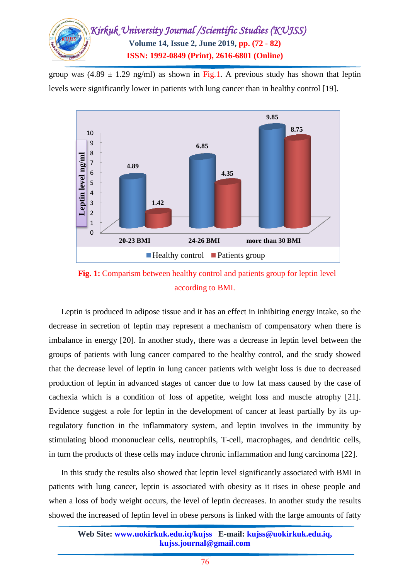

group was  $(4.89 \pm 1.29 \text{ ng/ml})$  as shown in Fig.1. A previous study has shown that leptin levels were significantly lower in patients with lung cancer than in healthy control [19].





Leptin is produced in adipose tissue and it has an effect in inhibiting energy intake, so the decrease in secretion of leptin may represent a mechanism of compensatory when there is imbalance in energy [20]. In another study, there was a decrease in leptin level between the groups of patients with lung cancer compared to the healthy control, and the study showed that the decrease level of leptin in lung cancer patients with weight loss is due to decreased production of leptin in advanced stages of cancer due to low fat mass caused by the case of cachexia which is a condition of loss of appetite, weight loss and muscle atrophy [21]. Evidence suggest a role for leptin in the development of cancer at least partially by its upregulatory function in the inflammatory system, and leptin involves in the immunity by stimulating blood mononuclear cells, neutrophils, T-cell, macrophages, and dendritic cells, in turn the products of these cells may induce chronic inflammation and lung carcinoma [22].

In this study the results also showed that leptin level significantly associated with BMI in patients with lung cancer, leptin is associated with obesity as it rises in obese people and when a loss of body weight occurs, the level of leptin decreases. In another study the results showed the increased of leptin level in obese persons is linked with the large amounts of fatty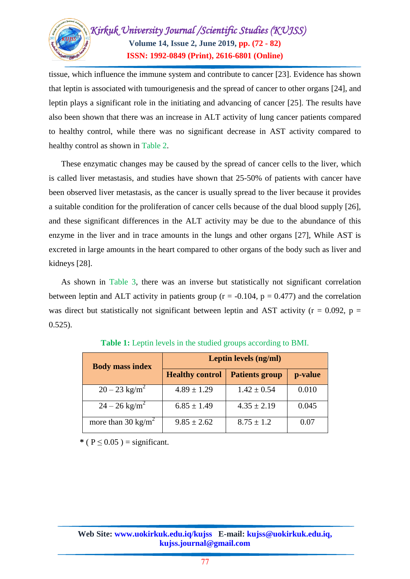

tissue, which influence the immune system and contribute to cancer [23]. Evidence has shown that leptin is associated with tumourigenesis and the spread of cancer to other organs [24], and leptin plays a significant role in the initiating and advancing of cancer [25]. The results have also been shown that there was an increase in ALT activity of lung cancer patients compared to healthy control, while there was no significant decrease in AST activity compared to healthy control as shown in Table 2.

These enzymatic changes may be caused by the spread of cancer cells to the liver, which is called liver metastasis, and studies have shown that 25-50% of patients with cancer have been observed liver metastasis, as the cancer is usually spread to the liver because it provides a suitable condition for the proliferation of cancer cells because of the dual blood supply [26], and these significant differences in the ALT activity may be due to the abundance of this enzyme in the liver and in trace amounts in the lungs and other organs [27], While AST is excreted in large amounts in the heart compared to other organs of the body such as liver and kidneys [28].

As shown in Table 3, there was an inverse but statistically not significant correlation between leptin and ALT activity in patients group ( $r = -0.104$ ,  $p = 0.477$ ) and the correlation was direct but statistically not significant between leptin and AST activity ( $r = 0.092$ ,  $p =$ 0.525).

| <b>Body mass index</b>         | Leptin levels (ng/ml)  |                       |         |
|--------------------------------|------------------------|-----------------------|---------|
|                                | <b>Healthy control</b> | <b>Patients group</b> | p-value |
| $20 - 23$ kg/m <sup>2</sup>    | $4.89 \pm 1.29$        | $1.42 \pm 0.54$       | 0.010   |
| $24 - 26$ kg/m <sup>2</sup>    | $6.85 \pm 1.49$        | $4.35 \pm 2.19$       | 0.045   |
| more than 30 kg/m <sup>2</sup> | $9.85 \pm 2.62$        | $8.75 \pm 1.2$        | 0.07    |

**Table 1:** Leptin levels in the studied groups according to BMI.

 $*(P < 0.05) =$  significant.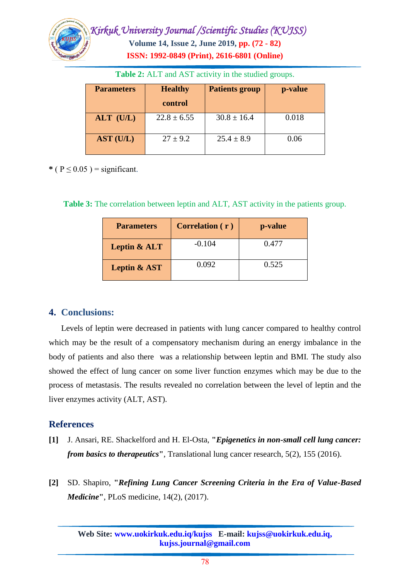

| <b>Parameters</b> | <b>Healthy</b>  | <b>Patients group</b> | p-value |
|-------------------|-----------------|-----------------------|---------|
|                   | control         |                       |         |
| ALT (U/L)         | $22.8 \pm 6.55$ | $30.8 \pm 16.4$       | 0.018   |
| AST (U/L)         | $27 \pm 9.2$    | $25.4 \pm 8.9$        | 0.06    |

**Table 2:** ALT and AST activity in the studied groups.

 $*(P \leq 0.05)$  = significant.

**Table 3:** The correlation between leptin and ALT, AST activity in the patients group.

| <b>Parameters</b>       | Correlation (r) | p-value |
|-------------------------|-----------------|---------|
| Leptin & ALT            | $-0.104$        | 0.477   |
| <b>Leptin &amp; AST</b> | 0.092           | 0.525   |

## **4. Conclusions:**

Levels of leptin were decreased in patients with lung cancer compared to healthy control which may be the result of a compensatory mechanism during an energy imbalance in the body of patients and also there was a relationship between leptin and BMI. The study also showed the effect of lung cancer on some liver function enzymes which may be due to the process of metastasis. The results revealed no correlation between the level of leptin and the liver enzymes activity (ALT, AST).

## **References**

- **[1]** J. Ansari, RE. Shackelford and H. El-Osta, **"***Epigenetics in non-small cell lung cancer: from basics to therapeutics***"**, Translational lung cancer research, 5(2), 155 (2016).
- **[2]** SD. Shapiro, **"***Refining Lung Cancer Screening Criteria in the Era of Value-Based Medicine***"**, PLoS medicine, 14(2), (2017).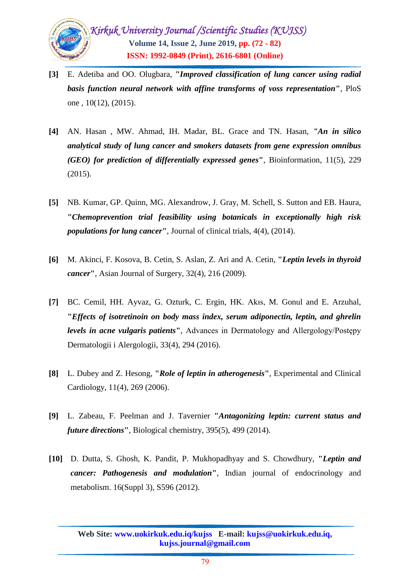

- **[3]** E. Adetiba and OO. Olugbara, **"***Improved classification of lung cancer using radial basis function neural network with affine transforms of voss representation***"**, PloS one , 10(12), (2015).
- **[4]** AN. Hasan , MW. Ahmad, IH. Madar, BL. Grace and TN. Hasan, *"An in silico analytical study of lung cancer and smokers datasets from gene expression omnibus (GEO) for prediction of differentially expressed genes***"**, Bioinformation, 11(5), 229 (2015).
- **[5]** NB. Kumar, GP. Quinn, MG. Alexandrow, J. Gray, M. Schell, S. Sutton and EB. Haura, **"***Chemoprevention trial feasibility using botanicals in exceptionally high risk populations for lung cancer***"**, Journal of clinical trials, 4(4), (2014).
- **[6]** M. Akinci, F. Kosova, B. Cetin, S. Aslan, Z. Ari and A. Cetin, **"***Leptin levels in thyroid cancer***"**, Asian Journal of Surgery, 32(4), 216 (2009).
- **[7]** BC. Cemil, HH. Ayvaz, G. Ozturk, C. Ergin, HK. Akıs, M. Gonul and E. Arzuhal, **"***Effects of isotretinoin on body mass index, serum adiponectin, leptin, and ghrelin levels in acne vulgaris patients*<sup>"</sup>, Advances in Dermatology and Allergology/Postępy Dermatologii i Alergologii, 33(4), 294 (2016).
- **[8]** L. Dubey and Z. Hesong, **"***Role of leptin in atherogenesis***"**, Experimental and Clinical Cardiology, 11(4), 269 (2006).
- **[9]** L. Zabeau, F. Peelman and J. Tavernier **"***Antagonizing leptin: current status and future directions***"**, Biological chemistry, 395(5), 499 (2014).
- **[10]** D. Dutta, S. Ghosh, K. Pandit, P. Mukhopadhyay and S. Chowdhury, **"***Leptin and cancer: Pathogenesis and modulation***"**, Indian journal of endocrinology and metabolism. 16(Suppl 3), S596 (2012).

**Web Site: www.uokirkuk.edu.iq/kujss E-mail: kujss@uokirkuk.edu.iq, kujss.journal@gmail.com**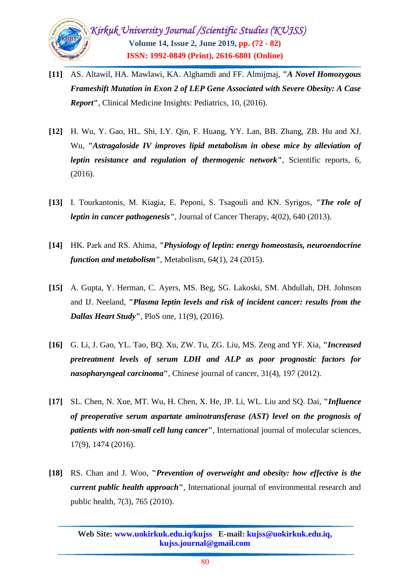

- **[11]** AS. Altawil, HA. Mawlawi, KA. Alghamdi and FF. Almijmaj, **"***A Novel Homozygous Frameshift Mutation in Exon 2 of LEP Gene Associated with Severe Obesity: A Case Report***"**, Clinical Medicine Insights: Pediatrics, 10, (2016).
- **[12]** H. Wu, Y. Gao, HL. Shi, LY. Qin, F. Huang, YY. Lan, BB. Zhang, ZB. Hu and XJ. Wu, **"***Astragaloside IV improves lipid metabolism in obese mice by alleviation of leptin resistance and regulation of thermogenic network***"**, Scientific reports, 6, (2016).
- **[13]** I. Tourkantonis, M. Kiagia, E. Peponi, S. Tsagouli and KN. Syrigos, *"The role of leptin in cancer pathogenesis"*, Journal of Cancer Therapy, 4(02), 640 (2013).
- **[14]** HK. Park and RS. Ahima, *"Physiology of leptin: energy homeostasis, neuroendocrine function and metabolism"*, Metabolism, 64(1), 24 (2015).
- **[15]** A. Gupta, Y. Herman, C. Ayers, MS. Beg, SG. Lakoski, SM. Abdullah, DH. Johnson and IJ. Neeland, **"***Plasma leptin levels and risk of incident cancer: results from the Dallas Heart Study***"**, PloS one, 11(9), (2016).
- **[16]** G. Li, J. Gao, YL. Tao, BQ. Xu, ZW. Tu, ZG. Liu, MS. Zeng and YF. Xia, **"***Increased pretreatment levels of serum LDH and ALP as poor prognostic factors for nasopharyngeal carcinoma***"**, Chinese journal of cancer, 31(4), 197 (2012).
- **[17]** SL. Chen, N. Xue, MT. Wu, H. Chen, X. He, JP. Li, WL. Liu and SQ. Dai, **"***Influence of preoperative serum aspartate aminotransferase (AST) level on the prognosis of patients with non-small cell lung cancer***"**, International journal of molecular sciences, 17(9), 1474 (2016).
- **[18]** RS. Chan and J. Woo, **"***Prevention of overweight and obesity: how effective is the current public health approach***"**, International journal of environmental research and public health, 7(3), 765 (2010).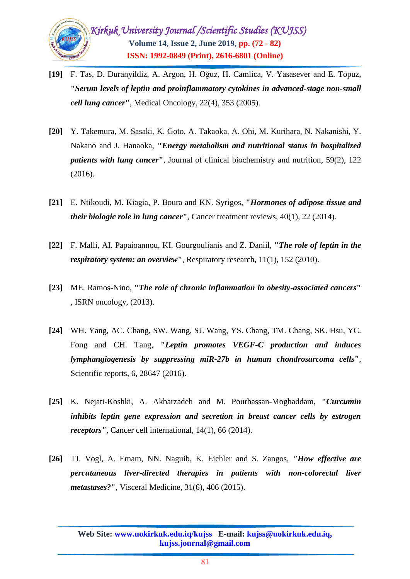

- **[19]** F. Tas, D. Duranyildiz, A. Argon, H. Oğuz, H. Camlica, V. Yasasever and E. Topuz, **"***Serum levels of leptin and proinflammatory cytokines in advanced-stage non-small cell lung cancer***"**, Medical Oncology, 22(4), 353 (2005).
- **[20]** Y. Takemura, M. Sasaki, K. Goto, A. Takaoka, A. Ohi, M. Kurihara, N. Nakanishi, Y. Nakano and J. Hanaoka, **"***Energy metabolism and nutritional status in hospitalized patients with lung cancer***"**, Journal of clinical biochemistry and nutrition, 59(2), 122 (2016).
- **[21]** E. Ntikoudi, M. Kiagia, P. Boura and KN. Syrigos, **"***Hormones of adipose tissue and their biologic role in lung cancer***"**, Cancer treatment reviews, 40(1), 22 (2014).
- **[22]** F. Malli, AI. Papaioannou, KI. Gourgoulianis and Z. Daniil, **"***The role of leptin in the respiratory system: an overview***"**, Respiratory research, 11(1), 152 (2010).
- **[23]** ME. Ramos-Nino, **"***The role of chronic inflammation in obesity-associated cancers***"**  , ISRN oncology, (2013).
- **[24]** WH. Yang, AC. Chang, SW. Wang, SJ. Wang, YS. Chang, TM. Chang, SK. Hsu, YC. Fong and CH. Tang, **"***Leptin promotes VEGF-C production and induces lymphangiogenesis by suppressing miR-27b in human chondrosarcoma cells***"**, Scientific reports, 6, 28647 (2016).
- **[25]** K. Nejati-Koshki, A. Akbarzadeh and M. Pourhassan-Moghaddam, **"***Curcumin inhibits leptin gene expression and secretion in breast cancer cells by estrogen receptors"*, Cancer cell international, 14(1), 66 (2014).
- **[26]** TJ. Vogl, A. Emam, NN. Naguib, K. Eichler and S. Zangos, *"How effective are percutaneous liver-directed therapies in patients with non-colorectal liver metastases?***"**, Visceral Medicine, 31(6), 406 (2015).